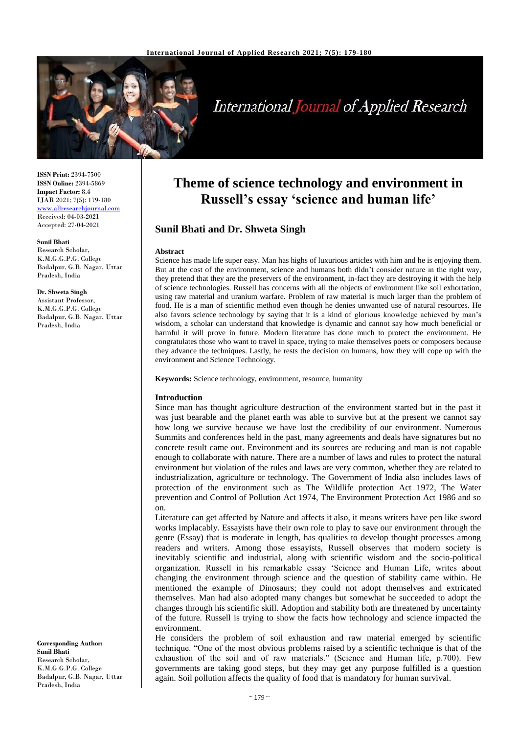

# **International Journal of Applied Research**

**ISSN Print:** 2394-7500 **ISSN Online:** 2394-5869 **Impact Factor:** 8.4 IJAR 2021; 7(5): 179-180 [www.allresearchjournal.com](http://www.allresearchjournal.com/) Received: 04-03-2021 Accepted: 27-04-2021

## **Sunil Bhati**

Research Scholar, K.M.G.G.P.G. College Badalpur, G.B. Nagar, Uttar Pradesh, India

#### **Dr. Shweta Singh**

Assistant Professor, K.M.G.G.P.G. College Badalpur, G.B. Nagar, Uttar Pradesh, India

**Corresponding Author: Sunil Bhati** Research Scholar, K.M.G.G.P.G. College Badalpur, G.B. Nagar, Uttar Pradesh, India

## **Theme of science technology and environment in Russell's essay 'science and human life'**

## **Sunil Bhati and Dr. Shweta Singh**

### **Abstract**

Science has made life super easy. Man has highs of luxurious articles with him and he is enjoying them. But at the cost of the environment, science and humans both didn't consider nature in the right way, they pretend that they are the preservers of the environment, in-fact they are destroying it with the help of science technologies. Russell has concerns with all the objects of environment like soil exhortation, using raw material and uranium warfare. Problem of raw material is much larger than the problem of food. He is a man of scientific method even though he denies unwanted use of natural resources. He also favors science technology by saying that it is a kind of glorious knowledge achieved by man's wisdom, a scholar can understand that knowledge is dynamic and cannot say how much beneficial or harmful it will prove in future. Modern literature has done much to protect the environment. He congratulates those who want to travel in space, trying to make themselves poets or composers because they advance the techniques. Lastly, he rests the decision on humans, how they will cope up with the environment and Science Technology.

**Keywords:** Science technology, environment, resource, humanity

### **Introduction**

Since man has thought agriculture destruction of the environment started but in the past it was just bearable and the planet earth was able to survive but at the present we cannot say how long we survive because we have lost the credibility of our environment. Numerous Summits and conferences held in the past, many agreements and deals have signatures but no concrete result came out. Environment and its sources are reducing and man is not capable enough to collaborate with nature. There are a number of laws and rules to protect the natural environment but violation of the rules and laws are very common, whether they are related to industrialization, agriculture or technology. The Government of India also includes laws of protection of the environment such as The Wildlife protection Act 1972, The Water prevention and Control of Pollution Act 1974, The Environment Protection Act 1986 and so on.

Literature can get affected by Nature and affects it also, it means writers have pen like sword works implacably. Essayists have their own role to play to save our environment through the genre (Essay) that is moderate in length, has qualities to develop thought processes among readers and writers. Among those essayists, Russell observes that modern society is inevitably scientific and industrial, along with scientific wisdom and the socio-political organization. Russell in his remarkable essay 'Science and Human Life, writes about changing the environment through science and the question of stability came within. He mentioned the example of Dinosaurs; they could not adopt themselves and extricated themselves. Man had also adopted many changes but somewhat he succeeded to adopt the changes through his scientific skill. Adoption and stability both are threatened by uncertainty of the future. Russell is trying to show the facts how technology and science impacted the environment.

He considers the problem of soil exhaustion and raw material emerged by scientific technique. "One of the most obvious problems raised by a scientific technique is that of the exhaustion of the soil and of raw materials." (Science and Human life, p.700). Few governments are taking good steps, but they may get any purpose fulfilled is a question again. Soil pollution affects the quality of food that is mandatory for human survival.